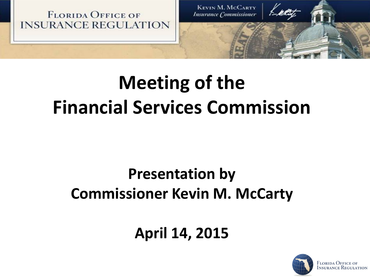



# **Meeting of the Financial Services Commission**

### **Presentation by Commissioner Kevin M. McCarty**

### **April 14, 2015**

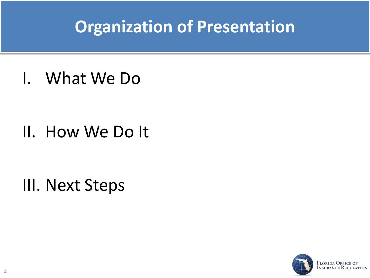## **Organization of Presentation**

I. What We Do

II. How We Do It

III. Next Steps

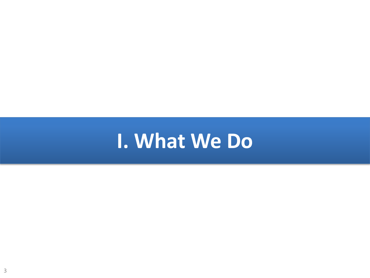# **I. What We Do**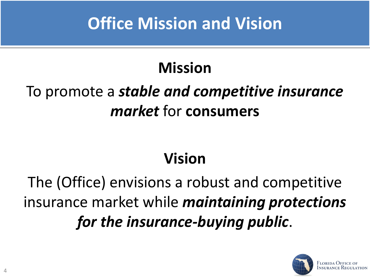## **Office Mission and Vision**

#### **Mission**

### To promote a *stable and competitive insurance market* for **consumers**

#### **Vision**

The (Office) envisions a robust and competitive insurance market while *maintaining protections for the insurance-buying public*.

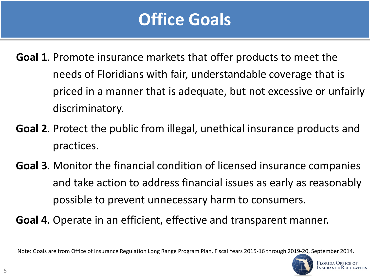## **Office Goals**

- **Goal 1**. Promote insurance markets that offer products to meet the needs of Floridians with fair, understandable coverage that is priced in a manner that is adequate, but not excessive or unfairly discriminatory.
- **Goal 2**. Protect the public from illegal, unethical insurance products and practices.
- **Goal 3**. Monitor the financial condition of licensed insurance companies and take action to address financial issues as early as reasonably possible to prevent unnecessary harm to consumers.
- **Goal 4**. Operate in an efficient, effective and transparent manner.

Note: Goals are from Office of Insurance Regulation Long Range Program Plan, Fiscal Years 2015-16 through [2019-20, September 2014.](http://www.floir.com/)

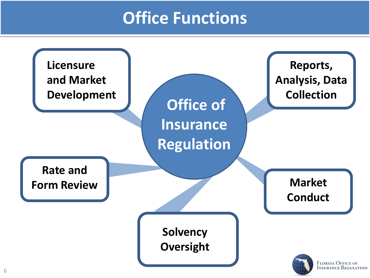### **Office Functions**

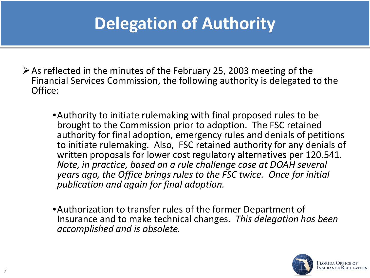## **Delegation of Authority**

- $\triangleright$  As reflected in the minutes of the February 25, 2003 meeting of the Financial Services Commission, the following authority is delegated to the Office:
	- •Authority to initiate rulemaking with final proposed rules to be brought to the Commission prior to adoption. The FSC retained authority for final adoption, emergency rules and denials of petitions to initiate rulemaking. Also, FSC retained authority for any denials of written proposals for lower cost regulatory alternatives per 120.541. *Note, in practice, based on a rule challenge case at DOAH several years ago, the Office brings rules to the FSC twice. Once for initial publication and again for final adoption.*
	- •Authorization to transfer rules of the former Department of Insurance and to make technical changes. *This delegation has been accomplished and is obsolete.*

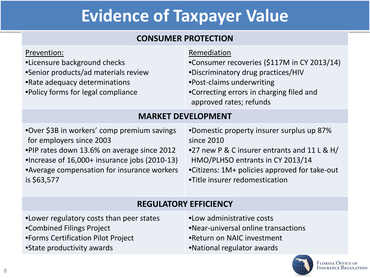## **Evidence of Taxpayer Value**

#### **CONSUMER PROTECTION**

| Prevention:<br>•Licensure background checks<br>•Senior products/ad materials review<br>•Rate adequacy determinations<br>. Policy forms for legal compliance                                                                           | Remediation<br>•Consumer recoveries (\$117M in CY 2013/14)<br>•Discriminatory drug practices/HIV<br>•Post-claims underwriting<br>•Correcting errors in charging filed and<br>approved rates; refunds                           |  |  |  |
|---------------------------------------------------------------------------------------------------------------------------------------------------------------------------------------------------------------------------------------|--------------------------------------------------------------------------------------------------------------------------------------------------------------------------------------------------------------------------------|--|--|--|
| <b>MARKET DEVELOPMENT</b>                                                                                                                                                                                                             |                                                                                                                                                                                                                                |  |  |  |
| •Over \$3B in workers' comp premium savings<br>for employers since 2003<br>•PIP rates down 13.6% on average since 2012<br>•Increase of 16,000+ insurance jobs (2010-13)<br>•Average compensation for insurance workers<br>is \$63,577 | •Domestic property insurer surplus up 87%<br>since 2010<br>•27 new P & C insurer entrants and 11 L & H/<br>HMO/PLHSO entrants in CY 2013/14<br>•Citizens: 1M+ policies approved for take-out<br>•Title insurer redomestication |  |  |  |

#### **REGULATORY EFFICIENCY**

- •Lower regulatory costs than peer states
- •Combined Filings Project
- •Forms Certification Pilot Project
- •State productivity awards
- •Low administrative costs
- •Near-universal online transactions
- •Return on NAIC investment
- •National regulator awards

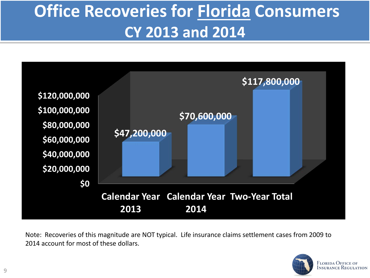## **Office Recoveries for Florida Consumers CY 2013 and 2014**



Note: Recoveries of this magnitude are NOT typical. Life insurance claims settlement cases from 2009 to 2014 account for most of these dollars.

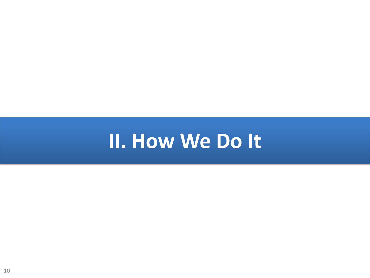# **II. How We Do It**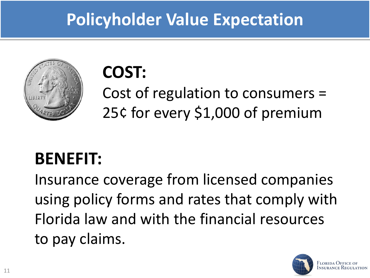## **Policyholder Value Expectation**



# **COST:**

Cost of regulation to consumers = 25¢ for every \$1,000 of premium

## **BENEFIT:**

Insurance coverage from licensed companies using policy forms and rates that comply with Florida law and with the financial resources to pay claims.

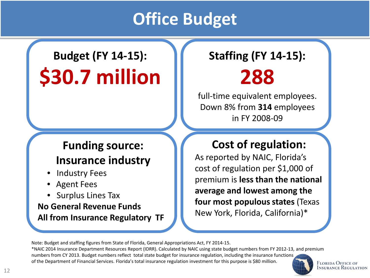### **Office Budget**

## **Budget (FY 14-15): \$30.7 million**

#### **Funding source: Insurance industry**

- Industry Fees
- Agent Fees
- Surplus Lines Tax

**No General Revenue Funds All from Insurance Regulatory TF**

#### **Staffing (FY 14-15): 288**

full-time equivalent employees. Down 8% from **314** employees in FY 2008-09

#### **Cost of regulation:**

As reported by NAIC, Florida's cost of regulation per \$1,000 of premium is **less than the national average and lowest among the four most populous states** (Texas New York, Florida, California)\*

Note: Budget and staffing figures from State of Florida, General Appropriations Act, FY 2014-15.

\*NAIC 2014 Insurance Department Resources Report (IDRR). Calculated by NAIC using state budget numbers from FY 2012-13, and premium numbers from CY 2013. Budget numbers reflect total state budget for insurance regulation, including the insurance functi[ons](http://www.floir.com/)  of the Department of Financial Services. Florida's total insurance regulation investment for this purpose is \$80 million.

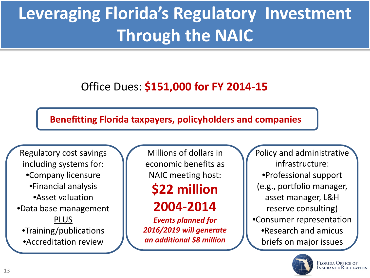## **Leveraging Florida's Regulatory Investment Through the NAIC**

#### Office Dues: **\$151,000 for FY 2014-15**

#### **Benefitting Florida taxpayers, policyholders and companies**

Regulatory cost savings including systems for: •Company licensure •Financial analysis •Asset valuation •Data base management PLUS •Training/publications •Accreditation review

Millions of dollars in economic benefits as NAIC meeting host:

### **\$22 million**

**2004-2014**

*Events planned for 2016/2019 will generate an additional \$8 million*

Policy and administrative infrastructure: •Professional support (e.g., portfolio manager, asset manager, L&H reserve consulting) •Consumer representation •Research and amicus briefs on major issues

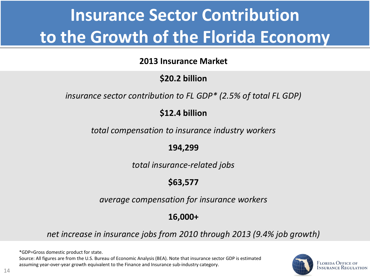## **Insurance Sector Contribution to the Growth of the Florida Economy**

#### **2013 Insurance Market**

#### **\$20.2 billion**

*insurance sector contribution to FL GDP\* (2.5% of total FL GDP)*

#### **\$12.4 billion**

*total compensation to insurance industry workers*

**194,299**

*total insurance-related jobs*

#### **\$63,577**

*average compensation for insurance workers*

#### **16,000+**

*net increase in insurance jobs from 2010 through 2013 (9.4% job growth)*

\*GDP=Gross domestic product for state. Source: All figures are from the U.S. Bureau of Economic Analysis (BEA). Note that insurance sector GDP is estimated assuming year-over-year growth equivalent to the Finance and Insurance sub-industry category.

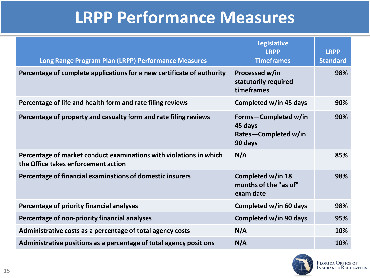### **LRPP Performance Measures**

| Long Range Program Plan (LRPP) Performance Measures                                                       | <b>Legislative</b><br><b>LRPP</b><br><b>Timeframes</b>             | <b>LRPP</b><br><b>Standard</b> |
|-----------------------------------------------------------------------------------------------------------|--------------------------------------------------------------------|--------------------------------|
| Percentage of complete applications for a new certificate of authority                                    | Processed w/in<br>statutorily required<br>timeframes               | 98%                            |
| Percentage of life and health form and rate filing reviews                                                | Completed w/in 45 days                                             | 90%                            |
| Percentage of property and casualty form and rate filing reviews                                          | Forms-Completed w/in<br>45 days<br>Rates-Completed w/in<br>90 days | 90%                            |
| Percentage of market conduct examinations with violations in which<br>the Office takes enforcement action | N/A                                                                | 85%                            |
| Percentage of financial examinations of domestic insurers                                                 | Completed w/in 18<br>months of the "as of"<br>exam date            | 98%                            |
| Percentage of priority financial analyses                                                                 | Completed w/in 60 days                                             | 98%                            |
| Percentage of non-priority financial analyses                                                             | Completed w/in 90 days                                             | 95%                            |
| Administrative costs as a percentage of total agency costs                                                | N/A                                                                | 10%                            |
| Administrative positions as a percentage of total agency positions                                        | N/A                                                                | 10%                            |

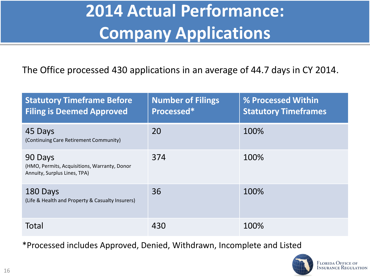## **2014 Actual Performance: Company Applications**

The Office processed 430 applications in an average of 44.7 days in CY 2014.

| <b>Statutory Timeframe Before</b><br><b>Filing is Deemed Approved</b>                   | <b>Number of Filings</b><br>Processed* | % Processed Within<br><b>Statutory Timeframes</b> |
|-----------------------------------------------------------------------------------------|----------------------------------------|---------------------------------------------------|
| 45 Days<br>(Continuing Care Retirement Community)                                       | 20                                     | 100%                                              |
| 90 Days<br>(HMO, Permits, Acquisitions, Warranty, Donor<br>Annuity, Surplus Lines, TPA) | 374                                    | 100%                                              |
| 180 Days<br>(Life & Health and Property & Casualty Insurers)                            | 36                                     | 100%                                              |
| Total                                                                                   | 430                                    | 100%                                              |

\*Processed includes Approved, Denied, Withdrawn, Incomplete and Listed

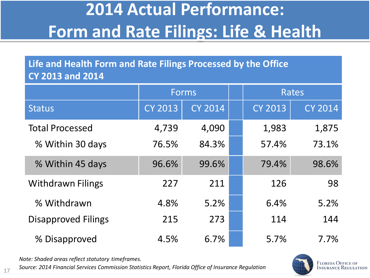## **2014 Actual Performance: Form and Rate Filings: Life & Health**

**Life and Health Form and Rate Filings Processed by the Office CY 2013 and 2014**

|                            | <b>Forms</b>   |                |  |                | <b>Rates</b>   |
|----------------------------|----------------|----------------|--|----------------|----------------|
| <b>Status</b>              | <b>CY 2013</b> | <b>CY 2014</b> |  | <b>CY 2013</b> | <b>CY 2014</b> |
| <b>Total Processed</b>     | 4,739          | 4,090          |  | 1,983          | 1,875          |
| % Within 30 days           | 76.5%          | 84.3%          |  | 57.4%          | 73.1%          |
| % Within 45 days           | 96.6%          | 99.6%          |  | 79.4%          | 98.6%          |
| <b>Withdrawn Filings</b>   | 227            | 211            |  | 126            | 98             |
| % Withdrawn                | 4.8%           | 5.2%           |  | 6.4%           | 5.2%           |
| <b>Disapproved Filings</b> | 215            | 273            |  | 114            | 144            |
| % Disapproved              | 4.5%           | 6.7%           |  | 5.7%           | 7.7%           |

*Note: Shaded areas reflect statutory timeframes.*

*Source: 2014 Financial Services Commission Statistics Report, Florida Office of Insurance Regulation* <sup>17</sup>

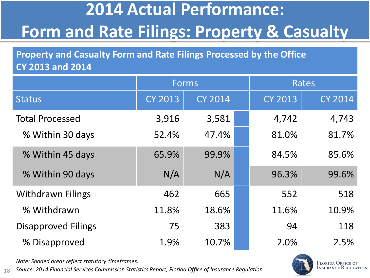## **2014 Actual Performance: Form and Rate Filings: Property & Casualty**

**Property and Casualty Form and Rate Filings Processed by the Office CY 2013 and 2014**

|                            | <b>Forms</b>   |                |  |                | Rates          |
|----------------------------|----------------|----------------|--|----------------|----------------|
| <b>Status</b>              | <b>CY 2013</b> | <b>CY 2014</b> |  | <b>CY 2013</b> | <b>CY 2014</b> |
| <b>Total Processed</b>     | 3,916          | 3,581          |  | 4,742          | 4,743          |
| % Within 30 days           | 52.4%          | 47.4%          |  | 81.0%          | 81.7%          |
| % Within 45 days           | 65.9%          | 99.9%          |  | 84.5%          | 85.6%          |
| % Within 90 days           | N/A            | N/A            |  | 96.3%          | 99.6%          |
| <b>Withdrawn Filings</b>   | 462            | 665            |  | 552            | 518            |
| % Withdrawn                | 11.8%          | 18.6%          |  | 11.6%          | 10.9%          |
| <b>Disapproved Filings</b> | 75             | 383            |  | 94             | 118            |
| % Disapproved              | 1.9%           | 10.7%          |  | 2.0%           | 2.5%           |

*Note: Shaded areas reflect statutory timeframes.*

18 *Source: 2014 Financial Services Commission Statistics Report, Florida Office of Insurance Regulation*

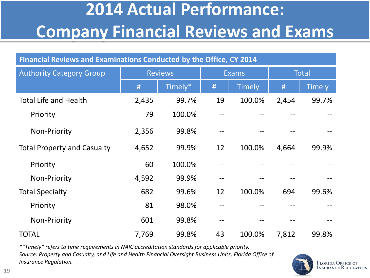## **2014 Actual Performance: Company Financial Reviews and Exams**

| Financial Reviews and Examinations Conducted by the Office, CY 2014 |                |         |              |               |              |               |
|---------------------------------------------------------------------|----------------|---------|--------------|---------------|--------------|---------------|
| <b>Authority Category Group</b>                                     | <b>Reviews</b> |         | <b>Exams</b> |               | <b>Total</b> |               |
|                                                                     | #              | Timely* | #            | <b>Timely</b> | #            | <b>Timely</b> |
| <b>Total Life and Health</b>                                        | 2,435          | 99.7%   | 19           | 100.0%        | 2,454        | 99.7%         |
| Priority                                                            | 79             | 100.0%  |              |               |              |               |
| <b>Non-Priority</b>                                                 | 2,356          | 99.8%   |              |               |              |               |
| <b>Total Property and Casualty</b>                                  | 4,652          | 99.9%   | 12           | 100.0%        | 4,664        | 99.9%         |
| Priority                                                            | 60             | 100.0%  |              |               |              |               |
| <b>Non-Priority</b>                                                 | 4,592          | 99.9%   |              |               |              |               |
| <b>Total Specialty</b>                                              | 682            | 99.6%   | 12           | 100.0%        | 694          | 99.6%         |
| Priority                                                            | 81             | 98.0%   |              |               |              |               |
| <b>Non-Priority</b>                                                 | 601            | 99.8%   |              |               |              |               |
| <b>TOTAL</b>                                                        | 7,769          | 99.8%   | 43           | 100.0%        | 7,812        | 99.8%         |

*\*"Timely" refers to time requirements in NAIC accreditation standards for applicable priority. Source: Property and Casualty, and Life and Health Financial Oversight Business Units, Florida Office of Insurance Regulation.*

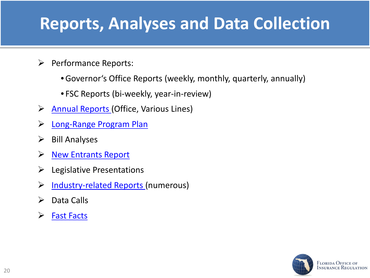### **Reports, Analyses and Data Collection**

- $\triangleright$  Performance Reports:
	- •Governor's Office Reports (weekly, monthly, quarterly, annually)
	- FSC Reports (bi-weekly, year-in-review)
- $\triangleright$  [Annual Reports \(](http://www.floir.com/Office/AnnualReports/index.aspx)Office, Various Lines)
- > [Long-Range Program Plan](http://www.floir.com/siteDocuments/OIRLRPP.pdf)
- $\triangleright$  Bill Analyses
- ▶ [New Entrants Report](http://www.floir.com/siteDocuments/Licensed2015.pdf)
- $\triangleright$  Legislative Presentations
- > [Industry-related Reports \(](http://www.floir.com/Office/DataReports.aspx)numerous)
- $\triangleright$  Data Calls
- $\triangleright$  [Fast Facts](http://www.floir.com/siteDocuments/FastFacts.pdf)

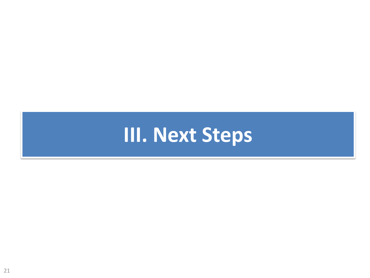# **III. Next Steps**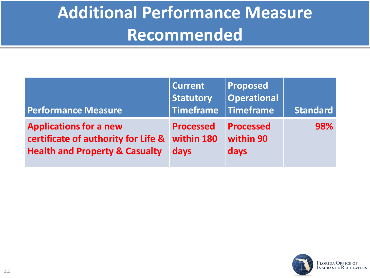## **Additional Performance Measure Recommended**

| <b>Performance Measure</b>                | <b>Current</b><br><b>Statutory</b><br><b>Timeframe</b> | <b>Proposed</b><br>$\vert$ Operational<br>Timeframe | <b>Standard</b> |
|-------------------------------------------|--------------------------------------------------------|-----------------------------------------------------|-----------------|
| <b>Applications for a new</b>             | <b>Processed</b>                                       | <b>Processed</b>                                    | 98%             |
| certificate of authority for Life &       | within 180                                             | within 90                                           |                 |
| <b>Health and Property &amp; Casualty</b> | <b>days</b>                                            | days                                                |                 |

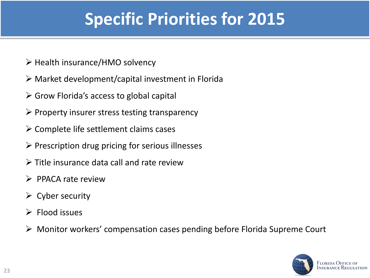## **Specific Priorities for 2015**

- $\triangleright$  Health insurance/HMO solvency
- $\triangleright$  Market development/capital investment in Florida
- $\triangleright$  Grow Florida's access to global capital
- $\triangleright$  Property insurer stress testing transparency
- $\triangleright$  Complete life settlement claims cases
- $\triangleright$  Prescription drug pricing for serious illnesses
- $\triangleright$  Title insurance data call and rate review
- $\triangleright$  PPACA rate review
- $\triangleright$  Cyber security
- $\triangleright$  Flood issues
- Monitor workers' compensation cases pending before Florida Supreme Court

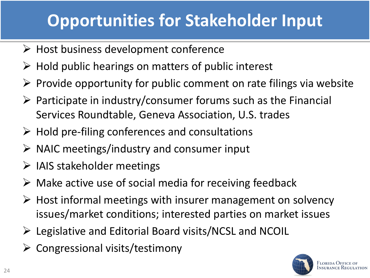## **Opportunities for Stakeholder Input**

- $\triangleright$  Host business development conference
- $\triangleright$  Hold public hearings on matters of public interest
- $\triangleright$  Provide opportunity for public comment on rate filings via website
- $\triangleright$  Participate in industry/consumer forums such as the Financial Services Roundtable, Geneva Association, U.S. trades
- $\triangleright$  Hold pre-filing conferences and consultations
- $\triangleright$  NAIC meetings/industry and consumer input
- $\triangleright$  IAIS stakeholder meetings
- $\triangleright$  Make active use of social media for receiving feedback
- $\triangleright$  Host informal meetings with insurer management on solvency issues/market conditions; interested parties on market issues
- $\triangleright$  Legislative and Editorial Board visits/NCSL and NCOIL
- $\triangleright$  Congressional visits/testimony